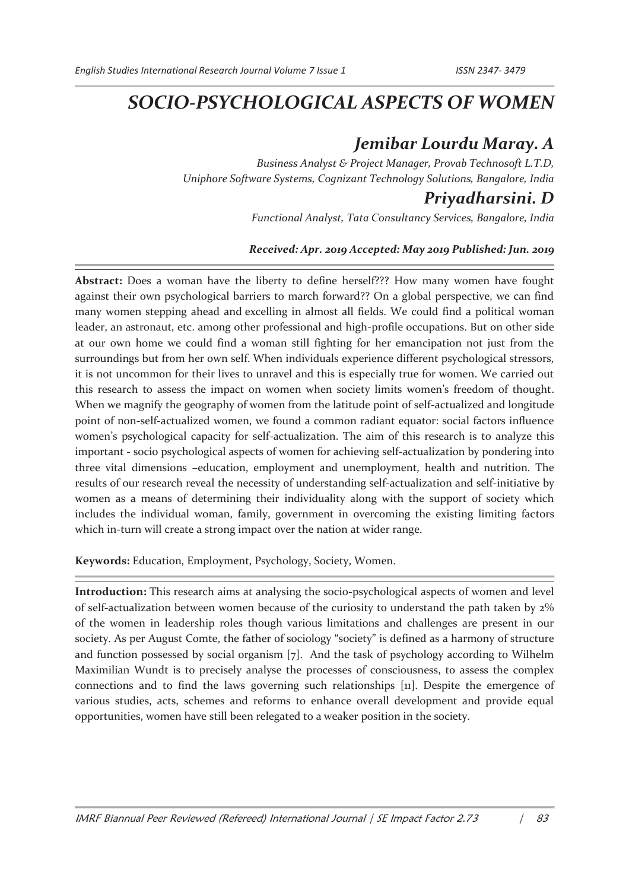# *SOCIO-PSYCHOLOGICAL ASPECTS OF WOMEN*

## *Jemibar Lourdu Maray. A*

*Business Analyst & Project Manager, Provab Technosoft L.T.D, Uniphore Software Systems, Cognizant Technology Solutions, Bangalore, India* 

### *Priyadharsini. D*

*Functional Analyst, Tata Consultancy Services, Bangalore, India* 

#### *Received: Apr. 2019 Accepted: May 2019 Published: Jun. 2019*

**Abstract:** Does a woman have the liberty to define herself??? How many women have fought against their own psychological barriers to march forward?? On a global perspective, we can find many women stepping ahead and excelling in almost all fields. We could find a political woman leader, an astronaut, etc. among other professional and high-profile occupations. But on other side at our own home we could find a woman still fighting for her emancipation not just from the surroundings but from her own self. When individuals experience different psychological stressors, it is not uncommon for their lives to unravel and this is especially true for women. We carried out this research to assess the impact on women when society limits women's freedom of thought. When we magnify the geography of women from the latitude point of self-actualized and longitude point of non-self-actualized women, we found a common radiant equator: social factors influence women's psychological capacity for self-actualization. The aim of this research is to analyze this important - socio psychological aspects of women for achieving self-actualization by pondering into three vital dimensions –education, employment and unemployment, health and nutrition. The results of our research reveal the necessity of understanding self-actualization and self-initiative by women as a means of determining their individuality along with the support of society which includes the individual woman, family, government in overcoming the existing limiting factors which in-turn will create a strong impact over the nation at wider range.

**Keywords:** Education, Employment, Psychology, Society, Women.

**Introduction:** This research aims at analysing the socio-psychological aspects of women and level of self-actualization between women because of the curiosity to understand the path taken by 2% of the women in leadership roles though various limitations and challenges are present in our society. As per August Comte, the father of sociology "society" is defined as a harmony of structure and function possessed by social organism [7]. And the task of psychology according to Wilhelm Maximilian Wundt is to precisely analyse the processes of consciousness, to assess the complex connections and to find the laws governing such relationships [11]. Despite the emergence of various studies, acts, schemes and reforms to enhance overall development and provide equal opportunities, women have still been relegated to a weaker position in the society.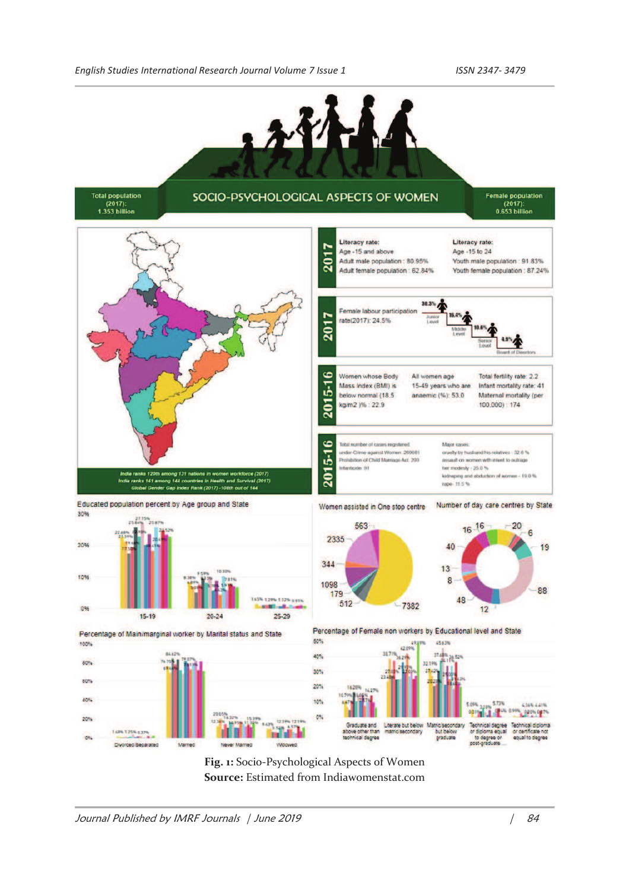

**Fig. 1:** Socio-Psychological Aspects of Women **Source:** Estimated from Indiawomenstat.com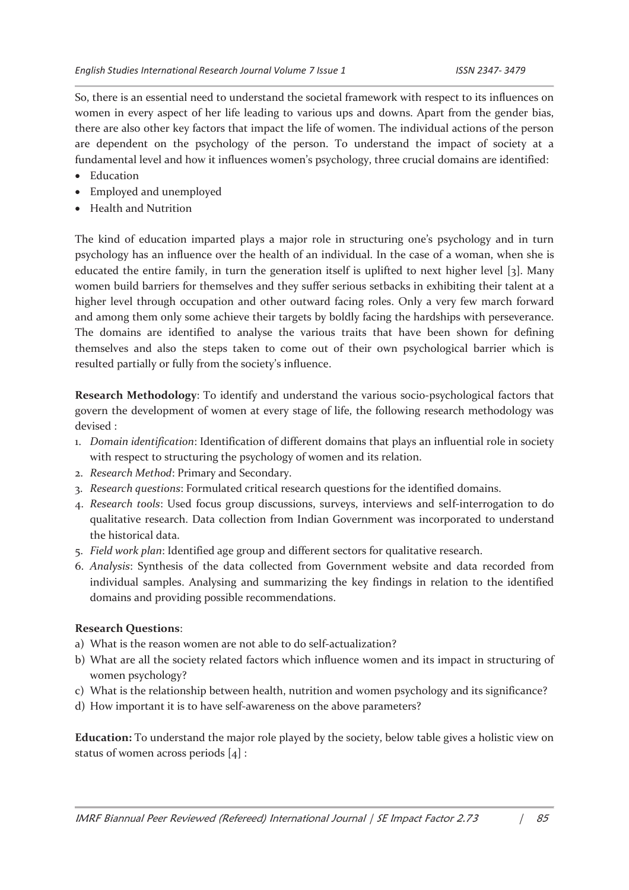So, there is an essential need to understand the societal framework with respect to its influences on women in every aspect of her life leading to various ups and downs. Apart from the gender bias, there are also other key factors that impact the life of women. The individual actions of the person are dependent on the psychology of the person. To understand the impact of society at a fundamental level and how it influences women's psychology, three crucial domains are identified:

- · Education
- · Employed and unemployed
- · Health and Nutrition

The kind of education imparted plays a major role in structuring one's psychology and in turn psychology has an influence over the health of an individual. In the case of a woman, when she is educated the entire family, in turn the generation itself is uplifted to next higher level [3]. Many women build barriers for themselves and they suffer serious setbacks in exhibiting their talent at a higher level through occupation and other outward facing roles. Only a very few march forward and among them only some achieve their targets by boldly facing the hardships with perseverance. The domains are identified to analyse the various traits that have been shown for defining themselves and also the steps taken to come out of their own psychological barrier which is resulted partially or fully from the society's influence.

**Research Methodology**: To identify and understand the various socio-psychological factors that govern the development of women at every stage of life, the following research methodology was devised :

- 1. *Domain identification*: Identification of different domains that plays an influential role in society with respect to structuring the psychology of women and its relation.
- 2. *Research Method*: Primary and Secondary.
- 3. *Research questions*: Formulated critical research questions for the identified domains.
- 4. *Research tools*: Used focus group discussions, surveys, interviews and self-interrogation to do qualitative research. Data collection from Indian Government was incorporated to understand the historical data.
- 5. *Field work plan*: Identified age group and different sectors for qualitative research.
- 6. *Analysis*: Synthesis of the data collected from Government website and data recorded from individual samples. Analysing and summarizing the key findings in relation to the identified domains and providing possible recommendations.

#### **Research Questions**:

- a) What is the reason women are not able to do self-actualization?
- b) What are all the society related factors which influence women and its impact in structuring of women psychology?
- c) What is the relationship between health, nutrition and women psychology and its significance?
- d) How important it is to have self-awareness on the above parameters?

**Education:** To understand the major role played by the society, below table gives a holistic view on status of women across periods [4] :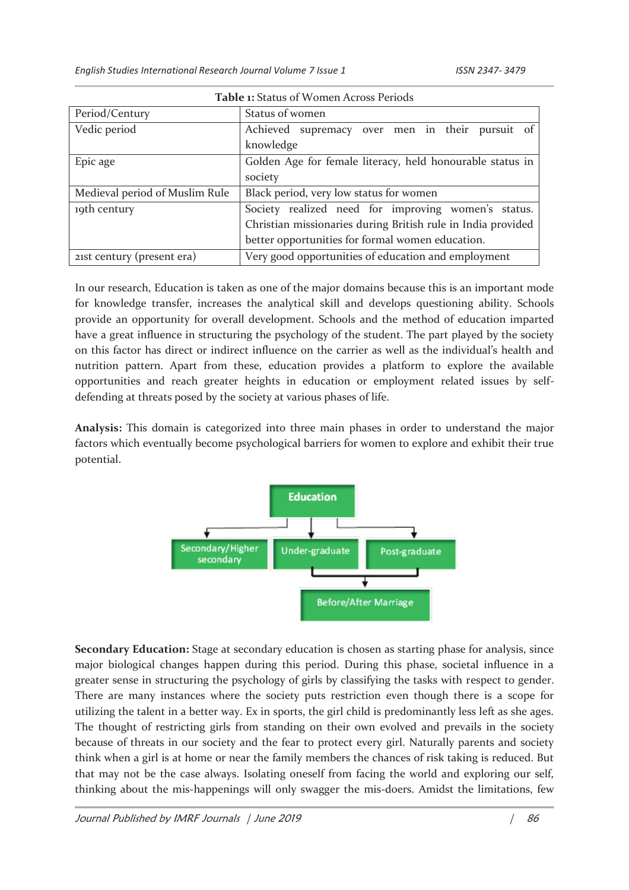*English Studies International Research Journal Volume 7 Issue 1 ISSN 2347- 3479* 

| TUDIC II DUUUGO OL YYOIIICII TULIOSSI CHOUS |                                                              |  |  |
|---------------------------------------------|--------------------------------------------------------------|--|--|
| Period/Century                              | Status of women                                              |  |  |
| Vedic period                                | Achieved supremacy over men in their pursuit of              |  |  |
|                                             | knowledge                                                    |  |  |
| Epic age                                    | Golden Age for female literacy, held honourable status in    |  |  |
|                                             | society                                                      |  |  |
| Medieval period of Muslim Rule              | Black period, very low status for women                      |  |  |
| 19th century                                | Society realized need for improving women's status.          |  |  |
|                                             | Christian missionaries during British rule in India provided |  |  |
|                                             | better opportunities for formal women education.             |  |  |
| 21st century (present era)                  | Very good opportunities of education and employment          |  |  |

**Table 1:** Status of Women Across Periods

In our research, Education is taken as one of the major domains because this is an important mode for knowledge transfer, increases the analytical skill and develops questioning ability. Schools provide an opportunity for overall development. Schools and the method of education imparted have a great influence in structuring the psychology of the student. The part played by the society on this factor has direct or indirect influence on the carrier as well as the individual's health and nutrition pattern. Apart from these, education provides a platform to explore the available opportunities and reach greater heights in education or employment related issues by selfdefending at threats posed by the society at various phases of life.

**Analysis:** This domain is categorized into three main phases in order to understand the major factors which eventually become psychological barriers for women to explore and exhibit their true potential.



**Secondary Education:** Stage at secondary education is chosen as starting phase for analysis, since major biological changes happen during this period. During this phase, societal influence in a greater sense in structuring the psychology of girls by classifying the tasks with respect to gender. There are many instances where the society puts restriction even though there is a scope for utilizing the talent in a better way. Ex in sports, the girl child is predominantly less left as she ages. The thought of restricting girls from standing on their own evolved and prevails in the society because of threats in our society and the fear to protect every girl. Naturally parents and society think when a girl is at home or near the family members the chances of risk taking is reduced. But that may not be the case always. Isolating oneself from facing the world and exploring our self, thinking about the mis-happenings will only swagger the mis-doers. Amidst the limitations, few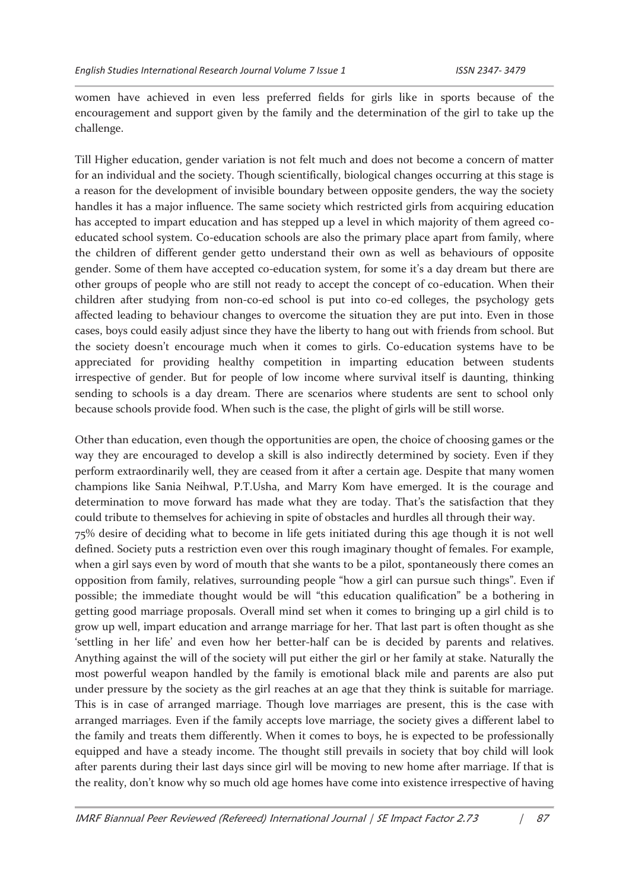women have achieved in even less preferred fields for girls like in sports because of the encouragement and support given by the family and the determination of the girl to take up the challenge.

Till Higher education, gender variation is not felt much and does not become a concern of matter for an individual and the society. Though scientifically, biological changes occurring at this stage is a reason for the development of invisible boundary between opposite genders, the way the society handles it has a major influence. The same society which restricted girls from acquiring education has accepted to impart education and has stepped up a level in which majority of them agreed coeducated school system. Co-education schools are also the primary place apart from family, where the children of different gender getto understand their own as well as behaviours of opposite gender. Some of them have accepted co-education system, for some it's a day dream but there are other groups of people who are still not ready to accept the concept of co-education. When their children after studying from non-co-ed school is put into co-ed colleges, the psychology gets affected leading to behaviour changes to overcome the situation they are put into. Even in those cases, boys could easily adjust since they have the liberty to hang out with friends from school. But the society doesn't encourage much when it comes to girls. Co-education systems have to be appreciated for providing healthy competition in imparting education between students irrespective of gender. But for people of low income where survival itself is daunting, thinking sending to schools is a day dream. There are scenarios where students are sent to school only because schools provide food. When such is the case, the plight of girls will be still worse.

Other than education, even though the opportunities are open, the choice of choosing games or the way they are encouraged to develop a skill is also indirectly determined by society. Even if they perform extraordinarily well, they are ceased from it after a certain age. Despite that many women champions like Sania Neihwal, P.T.Usha, and Marry Kom have emerged. It is the courage and determination to move forward has made what they are today. That's the satisfaction that they could tribute to themselves for achieving in spite of obstacles and hurdles all through their way. 75% desire of deciding what to become in life gets initiated during this age though it is not well defined. Society puts a restriction even over this rough imaginary thought of females. For example, when a girl says even by word of mouth that she wants to be a pilot, spontaneously there comes an opposition from family, relatives, surrounding people "how a girl can pursue such things". Even if possible; the immediate thought would be will "this education qualification" be a bothering in getting good marriage proposals. Overall mind set when it comes to bringing up a girl child is to grow up well, impart education and arrange marriage for her. That last part is often thought as she 'settling in her life' and even how her better-half can be is decided by parents and relatives. Anything against the will of the society will put either the girl or her family at stake. Naturally the most powerful weapon handled by the family is emotional black mile and parents are also put under pressure by the society as the girl reaches at an age that they think is suitable for marriage. This is in case of arranged marriage. Though love marriages are present, this is the case with arranged marriages. Even if the family accepts love marriage, the society gives a different label to the family and treats them differently. When it comes to boys, he is expected to be professionally equipped and have a steady income. The thought still prevails in society that boy child will look after parents during their last days since girl will be moving to new home after marriage. If that is the reality, don't know why so much old age homes have come into existence irrespective of having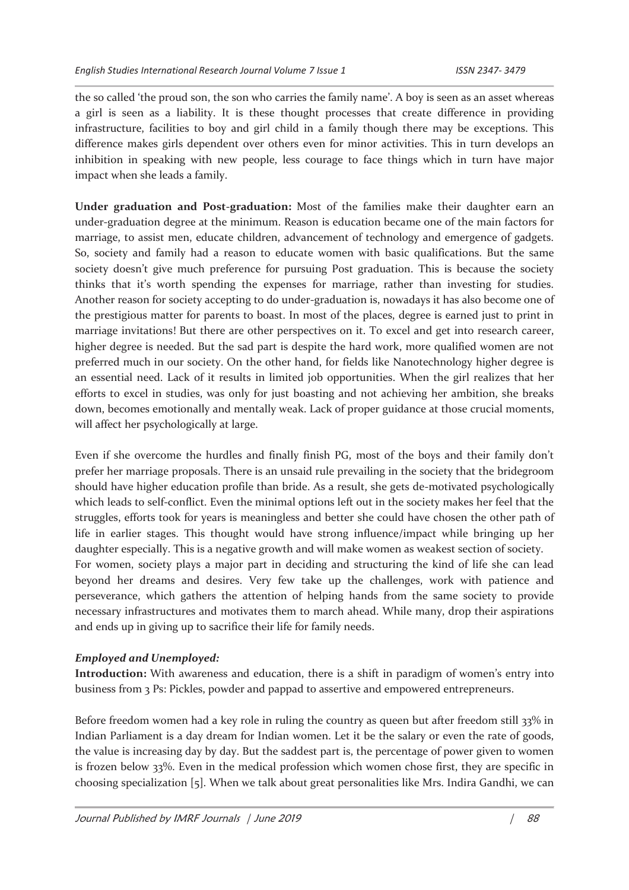the so called 'the proud son, the son who carries the family name'. A boy is seen as an asset whereas a girl is seen as a liability. It is these thought processes that create difference in providing infrastructure, facilities to boy and girl child in a family though there may be exceptions. This difference makes girls dependent over others even for minor activities. This in turn develops an inhibition in speaking with new people, less courage to face things which in turn have major impact when she leads a family.

**Under graduation and Post-graduation:** Most of the families make their daughter earn an under-graduation degree at the minimum. Reason is education became one of the main factors for marriage, to assist men, educate children, advancement of technology and emergence of gadgets. So, society and family had a reason to educate women with basic qualifications. But the same society doesn't give much preference for pursuing Post graduation. This is because the society thinks that it's worth spending the expenses for marriage, rather than investing for studies. Another reason for society accepting to do under-graduation is, nowadays it has also become one of the prestigious matter for parents to boast. In most of the places, degree is earned just to print in marriage invitations! But there are other perspectives on it. To excel and get into research career, higher degree is needed. But the sad part is despite the hard work, more qualified women are not preferred much in our society. On the other hand, for fields like Nanotechnology higher degree is an essential need. Lack of it results in limited job opportunities. When the girl realizes that her efforts to excel in studies, was only for just boasting and not achieving her ambition, she breaks down, becomes emotionally and mentally weak. Lack of proper guidance at those crucial moments, will affect her psychologically at large.

Even if she overcome the hurdles and finally finish PG, most of the boys and their family don't prefer her marriage proposals. There is an unsaid rule prevailing in the society that the bridegroom should have higher education profile than bride. As a result, she gets de-motivated psychologically which leads to self-conflict. Even the minimal options left out in the society makes her feel that the struggles, efforts took for years is meaningless and better she could have chosen the other path of life in earlier stages. This thought would have strong influence/impact while bringing up her daughter especially. This is a negative growth and will make women as weakest section of society. For women, society plays a major part in deciding and structuring the kind of life she can lead beyond her dreams and desires. Very few take up the challenges, work with patience and perseverance, which gathers the attention of helping hands from the same society to provide necessary infrastructures and motivates them to march ahead. While many, drop their aspirations and ends up in giving up to sacrifice their life for family needs.

#### *Employed and Unemployed:*

**Introduction:** With awareness and education, there is a shift in paradigm of women's entry into business from 3 Ps: Pickles, powder and pappad to assertive and empowered entrepreneurs.

Before freedom women had a key role in ruling the country as queen but after freedom still 33% in Indian Parliament is a day dream for Indian women. Let it be the salary or even the rate of goods, the value is increasing day by day. But the saddest part is, the percentage of power given to women is frozen below 33%. Even in the medical profession which women chose first, they are specific in choosing specialization [5]. When we talk about great personalities like Mrs. Indira Gandhi, we can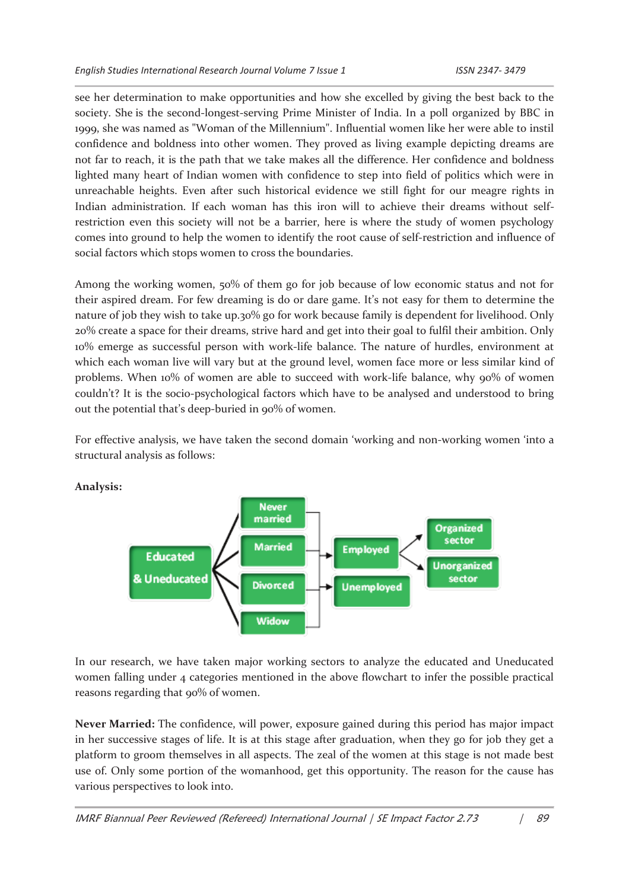see her determination to make opportunities and how she excelled by giving the best back to the society. She is the second-longest-serving Prime Minister of India. In a poll organized by BBC in 1999, she was named as "Woman of the Millennium". Influential women like her were able to instil confidence and boldness into other women. They proved as living example depicting dreams are not far to reach, it is the path that we take makes all the difference. Her confidence and boldness lighted many heart of Indian women with confidence to step into field of politics which were in unreachable heights. Even after such historical evidence we still fight for our meagre rights in Indian administration. If each woman has this iron will to achieve their dreams without selfrestriction even this society will not be a barrier, here is where the study of women psychology comes into ground to help the women to identify the root cause of self-restriction and influence of social factors which stops women to cross the boundaries.

Among the working women, 50% of them go for job because of low economic status and not for their aspired dream. For few dreaming is do or dare game. It's not easy for them to determine the nature of job they wish to take up.30% go for work because family is dependent for livelihood. Only 20% create a space for their dreams, strive hard and get into their goal to fulfil their ambition. Only 10% emerge as successful person with work-life balance. The nature of hurdles, environment at which each woman live will vary but at the ground level, women face more or less similar kind of problems. When 10% of women are able to succeed with work-life balance, why 90% of women couldn't? It is the socio-psychological factors which have to be analysed and understood to bring out the potential that's deep-buried in 90% of women.

For effective analysis, we have taken the second domain 'working and non-working women 'into a structural analysis as follows:



**Analysis:** 

In our research, we have taken major working sectors to analyze the educated and Uneducated women falling under 4 categories mentioned in the above flowchart to infer the possible practical reasons regarding that 90% of women.

**Never Married:** The confidence, will power, exposure gained during this period has major impact in her successive stages of life. It is at this stage after graduation, when they go for job they get a platform to groom themselves in all aspects. The zeal of the women at this stage is not made best use of. Only some portion of the womanhood, get this opportunity. The reason for the cause has various perspectives to look into.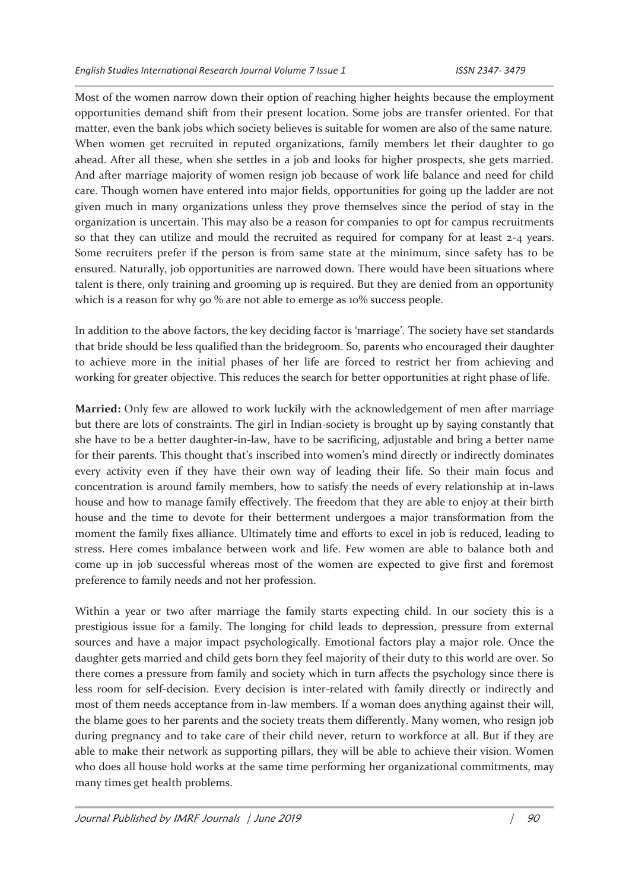Most of the women narrow down their option of reaching higher heights because the employment opportunities demand shift from their present location. Some jobs are transfer oriented. For that matter, even the bank jobs which society believes is suitable for women are also of the same nature. When women get recruited in reputed organizations, family members let their daughter to go ahead. After all these, when she settles in a job and looks for higher prospects, she gets married. And after marriage majority of women resign job because of work life balance and need for child care. Though women have entered into major fields, opportunities for going up the ladder are not given much in many organizations unless they prove themselves since the period of stay in the organization is uncertain. This may also be a reason for companies to opt for campus recruitments so that they can utilize and mould the recruited as required for company for at least 2-4 years. Some recruiters prefer if the person is from same state at the minimum, since safety has to be ensured. Naturally, job opportunities are narrowed down. There would have been situations where talent is there, only training and grooming up is required. But they are denied from an opportunity which is a reason for why 90 % are not able to emerge as 10% success people.

In addition to the above factors, the key deciding factor is 'marriage'. The society have set standards that bride should be less qualified than the bridegroom. So, parents who encouraged their daughter to achieve more in the initial phases of her life are forced to restrict her from achieving and working for greater objective. This reduces the search for better opportunities at right phase of life.

**Married:** Only few are allowed to work luckily with the acknowledgement of men after marriage but there are lots of constraints. The girl in Indian-society is brought up by saying constantly that she have to be a better daughter-in-law, have to be sacrificing, adjustable and bring a better name for their parents. This thought that's inscribed into women's mind directly or indirectly dominates every activity even if they have their own way of leading their life. So their main focus and concentration is around family members, how to satisfy the needs of every relationship at in-laws house and how to manage family effectively. The freedom that they are able to enjoy at their birth house and the time to devote for their betterment undergoes a major transformation from the moment the family fixes alliance. Ultimately time and efforts to excel in job is reduced, leading to stress. Here comes imbalance between work and life. Few women are able to balance both and come up in job successful whereas most of the women are expected to give first and foremost preference to family needs and not her profession.

Within a year or two after marriage the family starts expecting child. In our society this is a prestigious issue for a family. The longing for child leads to depression, pressure from external sources and have a major impact psychologically. Emotional factors play a major role. Once the daughter gets married and child gets born they feel majority of their duty to this world are over. So there comes a pressure from family and society which in turn affects the psychology since there is less room for self-decision. Every decision is inter-related with family directly or indirectly and most of them needs acceptance from in-law members. If a woman does anything against their will, the blame goes to her parents and the society treats them differently. Many women, who resign job during pregnancy and to take care of their child never, return to workforce at all. But if they are able to make their network as supporting pillars, they will be able to achieve their vision. Women who does all house hold works at the same time performing her organizational commitments, may many times get health problems.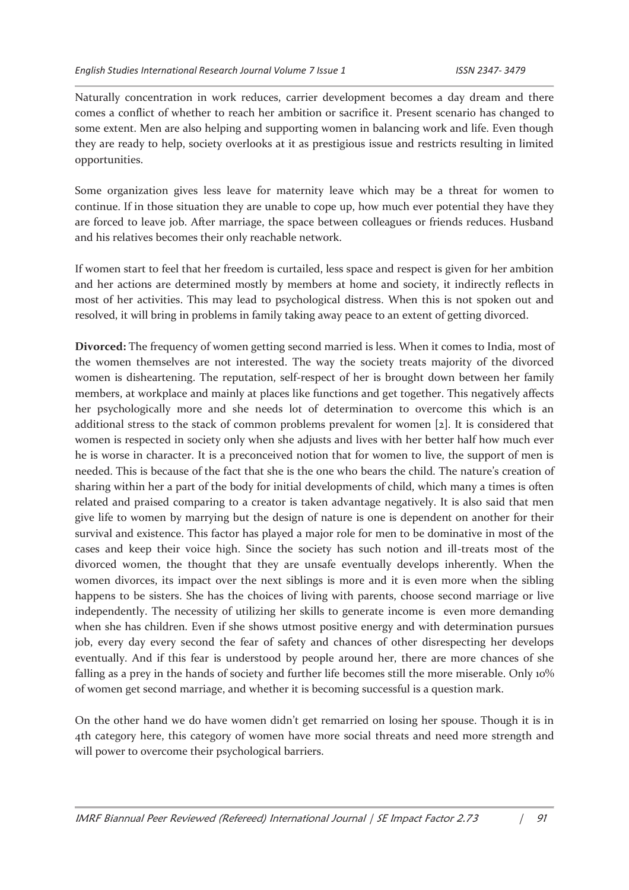Naturally concentration in work reduces, carrier development becomes a day dream and there comes a conflict of whether to reach her ambition or sacrifice it. Present scenario has changed to some extent. Men are also helping and supporting women in balancing work and life. Even though they are ready to help, society overlooks at it as prestigious issue and restricts resulting in limited opportunities.

Some organization gives less leave for maternity leave which may be a threat for women to continue. If in those situation they are unable to cope up, how much ever potential they have they are forced to leave job. After marriage, the space between colleagues or friends reduces. Husband and his relatives becomes their only reachable network.

If women start to feel that her freedom is curtailed, less space and respect is given for her ambition and her actions are determined mostly by members at home and society, it indirectly reflects in most of her activities. This may lead to psychological distress. When this is not spoken out and resolved, it will bring in problems in family taking away peace to an extent of getting divorced.

**Divorced:** The frequency of women getting second married is less. When it comes to India, most of the women themselves are not interested. The way the society treats majority of the divorced women is disheartening. The reputation, self-respect of her is brought down between her family members, at workplace and mainly at places like functions and get together. This negatively affects her psychologically more and she needs lot of determination to overcome this which is an additional stress to the stack of common problems prevalent for women [2]. It is considered that women is respected in society only when she adjusts and lives with her better half how much ever he is worse in character. It is a preconceived notion that for women to live, the support of men is needed. This is because of the fact that she is the one who bears the child. The nature's creation of sharing within her a part of the body for initial developments of child, which many a times is often related and praised comparing to a creator is taken advantage negatively. It is also said that men give life to women by marrying but the design of nature is one is dependent on another for their survival and existence. This factor has played a major role for men to be dominative in most of the cases and keep their voice high. Since the society has such notion and ill-treats most of the divorced women, the thought that they are unsafe eventually develops inherently. When the women divorces, its impact over the next siblings is more and it is even more when the sibling happens to be sisters. She has the choices of living with parents, choose second marriage or live independently. The necessity of utilizing her skills to generate income is even more demanding when she has children. Even if she shows utmost positive energy and with determination pursues job, every day every second the fear of safety and chances of other disrespecting her develops eventually. And if this fear is understood by people around her, there are more chances of she falling as a prey in the hands of society and further life becomes still the more miserable. Only 10% of women get second marriage, and whether it is becoming successful is a question mark.

On the other hand we do have women didn't get remarried on losing her spouse. Though it is in 4th category here, this category of women have more social threats and need more strength and will power to overcome their psychological barriers.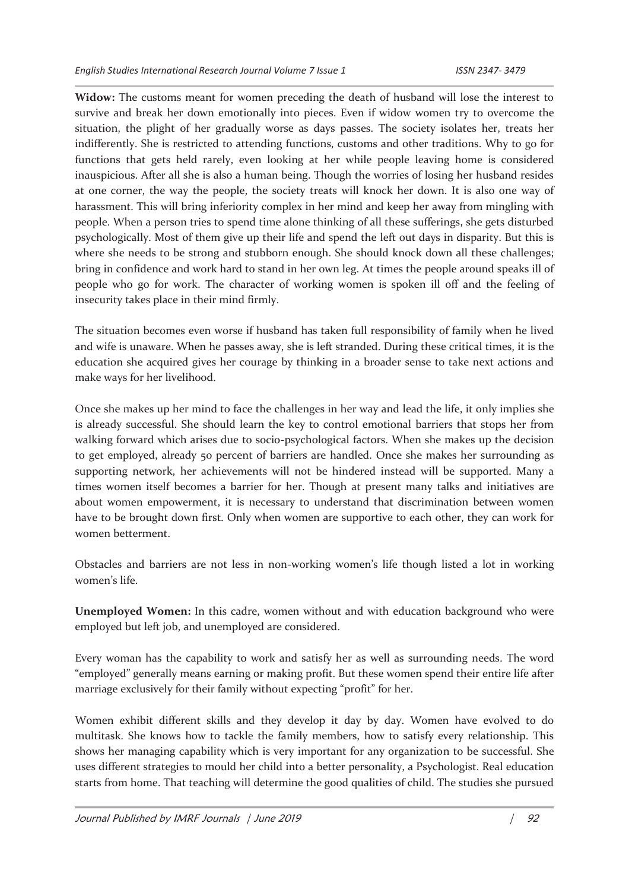**Widow:** The customs meant for women preceding the death of husband will lose the interest to survive and break her down emotionally into pieces. Even if widow women try to overcome the situation, the plight of her gradually worse as days passes. The society isolates her, treats her indifferently. She is restricted to attending functions, customs and other traditions. Why to go for functions that gets held rarely, even looking at her while people leaving home is considered inauspicious. After all she is also a human being. Though the worries of losing her husband resides at one corner, the way the people, the society treats will knock her down. It is also one way of harassment. This will bring inferiority complex in her mind and keep her away from mingling with people. When a person tries to spend time alone thinking of all these sufferings, she gets disturbed psychologically. Most of them give up their life and spend the left out days in disparity. But this is where she needs to be strong and stubborn enough. She should knock down all these challenges; bring in confidence and work hard to stand in her own leg. At times the people around speaks ill of people who go for work. The character of working women is spoken ill off and the feeling of insecurity takes place in their mind firmly.

The situation becomes even worse if husband has taken full responsibility of family when he lived and wife is unaware. When he passes away, she is left stranded. During these critical times, it is the education she acquired gives her courage by thinking in a broader sense to take next actions and make ways for her livelihood.

Once she makes up her mind to face the challenges in her way and lead the life, it only implies she is already successful. She should learn the key to control emotional barriers that stops her from walking forward which arises due to socio-psychological factors. When she makes up the decision to get employed, already 50 percent of barriers are handled. Once she makes her surrounding as supporting network, her achievements will not be hindered instead will be supported. Many a times women itself becomes a barrier for her. Though at present many talks and initiatives are about women empowerment, it is necessary to understand that discrimination between women have to be brought down first. Only when women are supportive to each other, they can work for women betterment.

Obstacles and barriers are not less in non-working women's life though listed a lot in working women's life.

**Unemployed Women:** In this cadre, women without and with education background who were employed but left job, and unemployed are considered.

Every woman has the capability to work and satisfy her as well as surrounding needs. The word "employed" generally means earning or making profit. But these women spend their entire life after marriage exclusively for their family without expecting "profit" for her.

Women exhibit different skills and they develop it day by day. Women have evolved to do multitask. She knows how to tackle the family members, how to satisfy every relationship. This shows her managing capability which is very important for any organization to be successful. She uses different strategies to mould her child into a better personality, a Psychologist. Real education starts from home. That teaching will determine the good qualities of child. The studies she pursued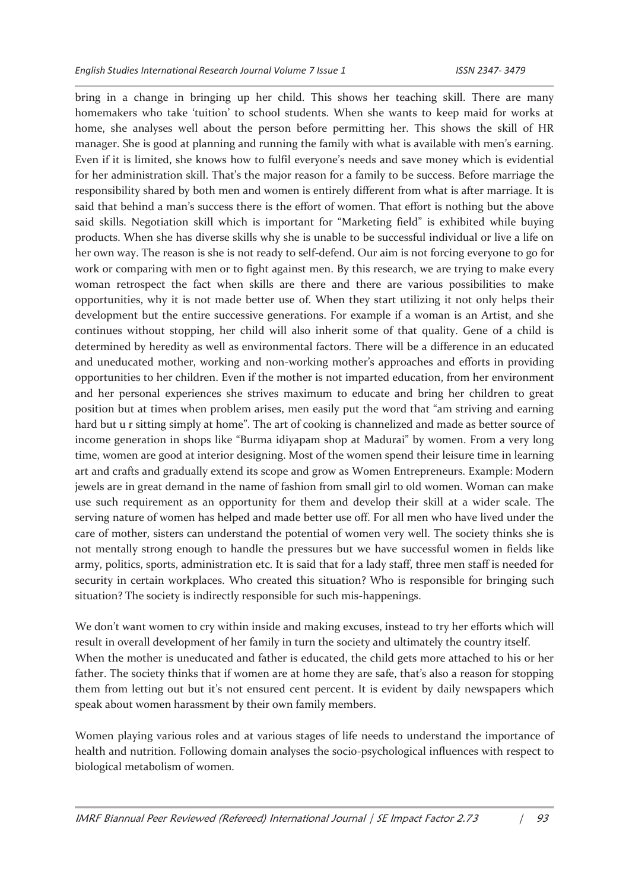bring in a change in bringing up her child. This shows her teaching skill. There are many homemakers who take 'tuition' to school students. When she wants to keep maid for works at home, she analyses well about the person before permitting her. This shows the skill of HR manager. She is good at planning and running the family with what is available with men's earning. Even if it is limited, she knows how to fulfil everyone's needs and save money which is evidential for her administration skill. That's the major reason for a family to be success. Before marriage the responsibility shared by both men and women is entirely different from what is after marriage. It is said that behind a man's success there is the effort of women. That effort is nothing but the above said skills. Negotiation skill which is important for "Marketing field" is exhibited while buying products. When she has diverse skills why she is unable to be successful individual or live a life on her own way. The reason is she is not ready to self-defend. Our aim is not forcing everyone to go for work or comparing with men or to fight against men. By this research, we are trying to make every woman retrospect the fact when skills are there and there are various possibilities to make opportunities, why it is not made better use of. When they start utilizing it not only helps their development but the entire successive generations. For example if a woman is an Artist, and she continues without stopping, her child will also inherit some of that quality. Gene of a child is determined by heredity as well as environmental factors. There will be a difference in an educated and uneducated mother, working and non-working mother's approaches and efforts in providing opportunities to her children. Even if the mother is not imparted education, from her environment and her personal experiences she strives maximum to educate and bring her children to great position but at times when problem arises, men easily put the word that "am striving and earning hard but u r sitting simply at home". The art of cooking is channelized and made as better source of income generation in shops like "Burma idiyapam shop at Madurai" by women. From a very long time, women are good at interior designing. Most of the women spend their leisure time in learning art and crafts and gradually extend its scope and grow as Women Entrepreneurs. Example: Modern jewels are in great demand in the name of fashion from small girl to old women. Woman can make use such requirement as an opportunity for them and develop their skill at a wider scale. The serving nature of women has helped and made better use off. For all men who have lived under the care of mother, sisters can understand the potential of women very well. The society thinks she is not mentally strong enough to handle the pressures but we have successful women in fields like army, politics, sports, administration etc. It is said that for a lady staff, three men staff is needed for security in certain workplaces. Who created this situation? Who is responsible for bringing such situation? The society is indirectly responsible for such mis-happenings.

We don't want women to cry within inside and making excuses, instead to try her efforts which will result in overall development of her family in turn the society and ultimately the country itself. When the mother is uneducated and father is educated, the child gets more attached to his or her father. The society thinks that if women are at home they are safe, that's also a reason for stopping them from letting out but it's not ensured cent percent. It is evident by daily newspapers which speak about women harassment by their own family members.

Women playing various roles and at various stages of life needs to understand the importance of health and nutrition. Following domain analyses the socio-psychological influences with respect to biological metabolism of women.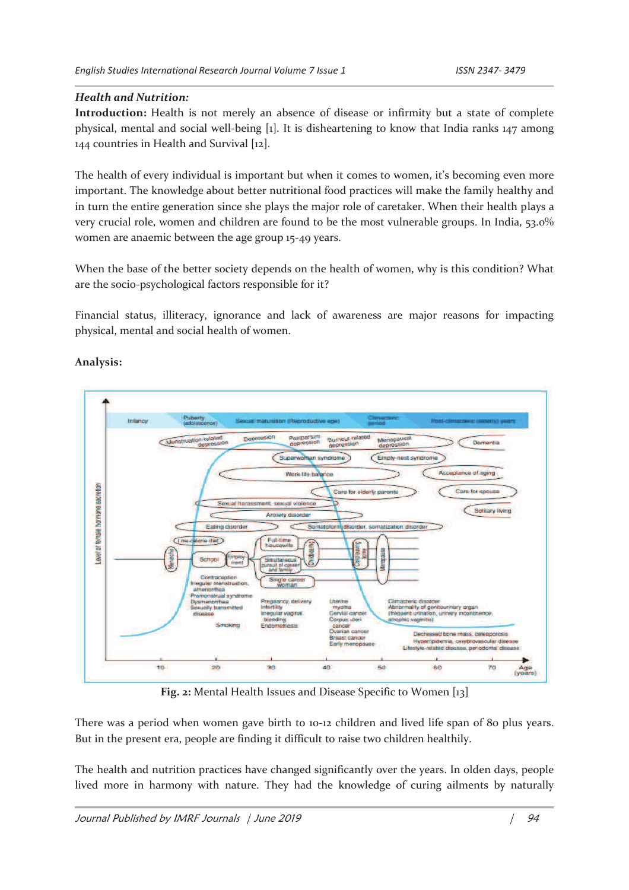#### *Health and Nutrition:*

**Introduction:** Health is not merely an absence of disease or infirmity but a state of complete physical, mental and social well-being [1]. It is disheartening to know that India ranks 147 among 144 countries in Health and Survival [12].

The health of every individual is important but when it comes to women, it's becoming even more important. The knowledge about better nutritional food practices will make the family healthy and in turn the entire generation since she plays the major role of caretaker. When their health plays a very crucial role, women and children are found to be the most vulnerable groups. In India, 53.0% women are anaemic between the age group 15-49 years.

When the base of the better society depends on the health of women, why is this condition? What are the socio-psychological factors responsible for it?

Financial status, illiteracy, ignorance and lack of awareness are major reasons for impacting physical, mental and social health of women.



#### **Analysis:**

**Fig. 2:** Mental Health Issues and Disease Specific to Women [13]

There was a period when women gave birth to 10-12 children and lived life span of 80 plus years. But in the present era, people are finding it difficult to raise two children healthily.

The health and nutrition practices have changed significantly over the years. In olden days, people lived more in harmony with nature. They had the knowledge of curing ailments by naturally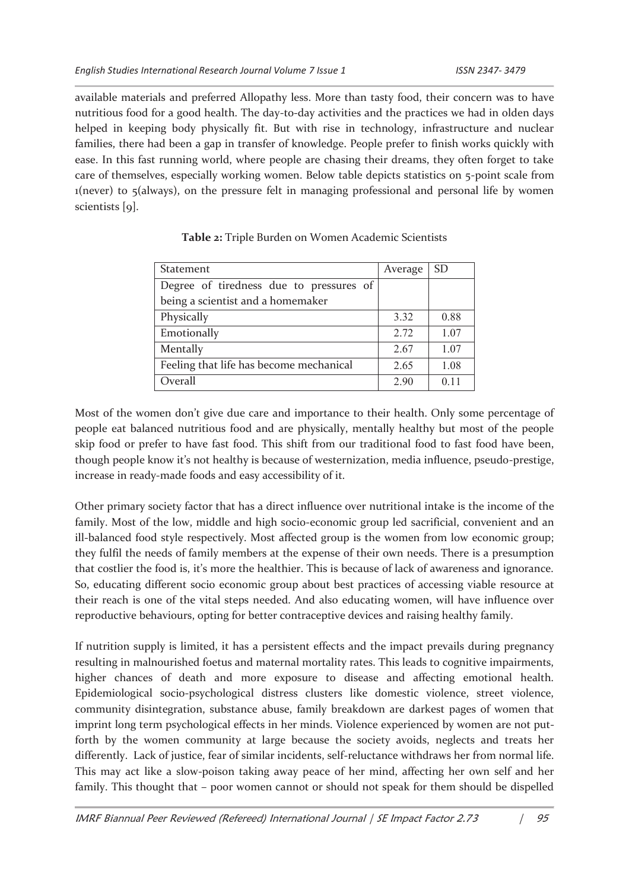available materials and preferred Allopathy less. More than tasty food, their concern was to have nutritious food for a good health. The day-to-day activities and the practices we had in olden days helped in keeping body physically fit. But with rise in technology, infrastructure and nuclear families, there had been a gap in transfer of knowledge. People prefer to finish works quickly with ease. In this fast running world, where people are chasing their dreams, they often forget to take care of themselves, especially working women. Below table depicts statistics on 5-point scale from 1(never) to 5(always), on the pressure felt in managing professional and personal life by women scientists [9].

| <b>Statement</b>                        | Average | <b>SD</b>       |
|-----------------------------------------|---------|-----------------|
| Degree of tiredness due to pressures of |         |                 |
| being a scientist and a homemaker       |         |                 |
| Physically                              | 3.32    | 0.88            |
| Emotionally                             | 2.72    | 1.07            |
| Mentally                                | 2.67    | 1.07            |
| Feeling that life has become mechanical | 2.65    | 1.08            |
| Overall                                 | 2.90    | 0 <sub>11</sub> |
|                                         |         |                 |

#### **Table 2:** Triple Burden on Women Academic Scientists

Most of the women don't give due care and importance to their health. Only some percentage of people eat balanced nutritious food and are physically, mentally healthy but most of the people skip food or prefer to have fast food. This shift from our traditional food to fast food have been, though people know it's not healthy is because of westernization, media influence, pseudo-prestige, increase in ready-made foods and easy accessibility of it.

Other primary society factor that has a direct influence over nutritional intake is the income of the family. Most of the low, middle and high socio-economic group led sacrificial, convenient and an ill-balanced food style respectively. Most affected group is the women from low economic group; they fulfil the needs of family members at the expense of their own needs. There is a presumption that costlier the food is, it's more the healthier. This is because of lack of awareness and ignorance. So, educating different socio economic group about best practices of accessing viable resource at their reach is one of the vital steps needed. And also educating women, will have influence over reproductive behaviours, opting for better contraceptive devices and raising healthy family.

If nutrition supply is limited, it has a persistent effects and the impact prevails during pregnancy resulting in malnourished foetus and maternal mortality rates. This leads to cognitive impairments, higher chances of death and more exposure to disease and affecting emotional health. Epidemiological socio-psychological distress clusters like domestic violence, street violence, community disintegration, substance abuse, family breakdown are darkest pages of women that imprint long term psychological effects in her minds. Violence experienced by women are not putforth by the women community at large because the society avoids, neglects and treats her differently. Lack of justice, fear of similar incidents, self-reluctance withdraws her from normal life. This may act like a slow-poison taking away peace of her mind, affecting her own self and her family. This thought that – poor women cannot or should not speak for them should be dispelled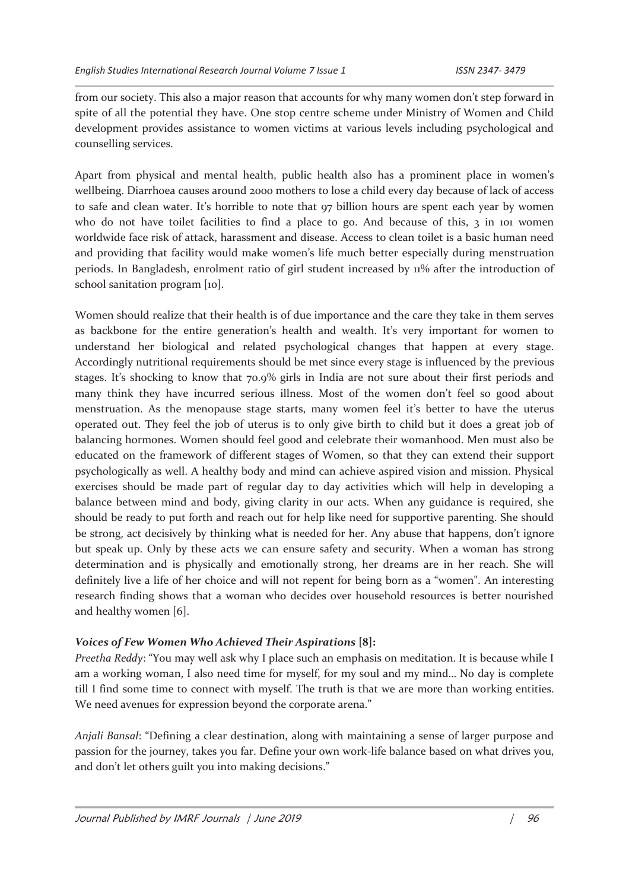from our society. This also a major reason that accounts for why many women don't step forward in spite of all the potential they have. One stop centre scheme under Ministry of Women and Child development provides assistance to women victims at various levels including psychological and counselling services.

Apart from physical and mental health, public health also has a prominent place in women's wellbeing. Diarrhoea causes around 2000 mothers to lose a child every day because of lack of access to safe and clean water. It's horrible to note that 97 billion hours are spent each year by women who do not have toilet facilities to find a place to go. And because of this, 3 in 101 women worldwide face risk of attack, harassment and disease. Access to clean toilet is a basic human need and providing that facility would make women's life much better especially during menstruation periods. In Bangladesh, enrolment ratio of girl student increased by 11% after the introduction of school sanitation program [10].

Women should realize that their health is of due importance and the care they take in them serves as backbone for the entire generation's health and wealth. It's very important for women to understand her biological and related psychological changes that happen at every stage. Accordingly nutritional requirements should be met since every stage is influenced by the previous stages. It's shocking to know that 70.9% girls in India are not sure about their first periods and many think they have incurred serious illness. Most of the women don't feel so good about menstruation. As the menopause stage starts, many women feel it's better to have the uterus operated out. They feel the job of uterus is to only give birth to child but it does a great job of balancing hormones. Women should feel good and celebrate their womanhood. Men must also be educated on the framework of different stages of Women, so that they can extend their support psychologically as well. A healthy body and mind can achieve aspired vision and mission. Physical exercises should be made part of regular day to day activities which will help in developing a balance between mind and body, giving clarity in our acts. When any guidance is required, she should be ready to put forth and reach out for help like need for supportive parenting. She should be strong, act decisively by thinking what is needed for her. Any abuse that happens, don't ignore but speak up. Only by these acts we can ensure safety and security. When a woman has strong determination and is physically and emotionally strong, her dreams are in her reach. She will definitely live a life of her choice and will not repent for being born as a "women". An interesting research finding shows that a woman who decides over household resources is better nourished and healthy women [6].

#### *Voices of Few Women Who Achieved Their Aspirations* **[8]:**

*Preetha Reddy*: "You may well ask why I place such an emphasis on meditation. It is because while I am a working woman, I also need time for myself, for my soul and my mind… No day is complete till I find some time to connect with myself. The truth is that we are more than working entities. We need avenues for expression beyond the corporate arena."

*Anjali Bansal*: "Defining a clear destination, along with maintaining a sense of larger purpose and passion for the journey, takes you far. Define your own work-life balance based on what drives you, and don't let others guilt you into making decisions."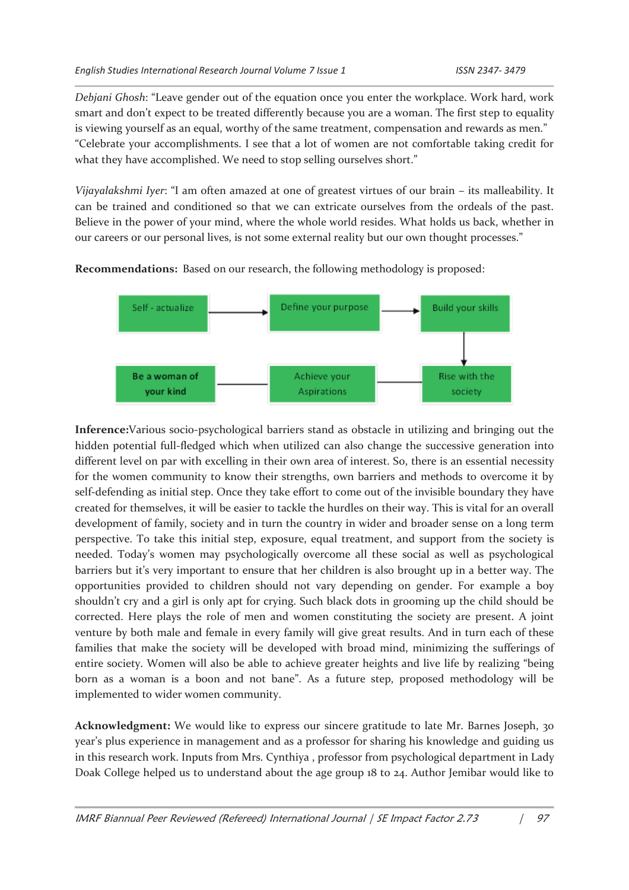*Debjani Ghosh*: "Leave gender out of the equation once you enter the workplace. Work hard, work smart and don't expect to be treated differently because you are a woman. The first step to equality is viewing yourself as an equal, worthy of the same treatment, compensation and rewards as men." "Celebrate your accomplishments. I see that a lot of women are not comfortable taking credit for what they have accomplished. We need to stop selling ourselves short."

*Vijayalakshmi Iyer*: "I am often amazed at one of greatest virtues of our brain – its malleability. It can be trained and conditioned so that we can extricate ourselves from the ordeals of the past. Believe in the power of your mind, where the whole world resides. What holds us back, whether in our careers or our personal lives, is not some external reality but our own thought processes."

**Recommendations:** Based on our research, the following methodology is proposed:



**Inference:**Various socio-psychological barriers stand as obstacle in utilizing and bringing out the hidden potential full-fledged which when utilized can also change the successive generation into different level on par with excelling in their own area of interest. So, there is an essential necessity for the women community to know their strengths, own barriers and methods to overcome it by self-defending as initial step. Once they take effort to come out of the invisible boundary they have created for themselves, it will be easier to tackle the hurdles on their way. This is vital for an overall development of family, society and in turn the country in wider and broader sense on a long term perspective. To take this initial step, exposure, equal treatment, and support from the society is needed. Today's women may psychologically overcome all these social as well as psychological barriers but it's very important to ensure that her children is also brought up in a better way. The opportunities provided to children should not vary depending on gender. For example a boy shouldn't cry and a girl is only apt for crying. Such black dots in grooming up the child should be corrected. Here plays the role of men and women constituting the society are present. A joint venture by both male and female in every family will give great results. And in turn each of these families that make the society will be developed with broad mind, minimizing the sufferings of entire society. Women will also be able to achieve greater heights and live life by realizing "being born as a woman is a boon and not bane". As a future step, proposed methodology will be implemented to wider women community.

**Acknowledgment:** We would like to express our sincere gratitude to late Mr. Barnes Joseph, 30 year's plus experience in management and as a professor for sharing his knowledge and guiding us in this research work. Inputs from Mrs. Cynthiya , professor from psychological department in Lady Doak College helped us to understand about the age group 18 to 24. Author Jemibar would like to